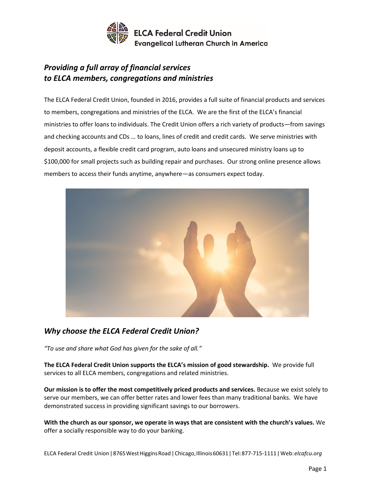

## *Providing a full array of financial services to ELCA members, congregations and ministries*

The ELCA Federal Credit Union, founded in 2016, provides a full suite of financial products and services to members, congregations and ministries of the ELCA. We are the first of the ELCA's financial ministries to offer loans to individuals. The Credit Union offers a rich variety of products—from savings and checking accounts and CDs … to loans, lines of credit and credit cards. We serve ministries with deposit accounts, a flexible credit card program, auto loans and unsecured ministry loans up to \$100,000 for small projects such as building repair and purchases. Our strong online presence allows members to access their funds anytime, anywhere—as consumers expect today.



## *Why choose the ELCA Federal Credit Union?*

*"To use and share what God has given for the sake of all."*

**The ELCA Federal Credit Union supports the ELCA's mission of good stewardship.** We provide full services to all ELCA members, congregations and related ministries.

**Our mission is to offer the most competitively priced products and services.** Because we exist solely to serve our members, we can offer better rates and lower fees than many traditional banks. We have demonstrated success in providing significant savings to our borrowers.

**With the church as our sponsor, we operate in ways that are consistent with the church's values.** We offer a socially responsible way to do your banking.

ELCA Federal Credit Union|8765WestHigginsRoad|Chicago,Illinois60631|Tel:877-715-1111|Web:*elcafcu.org*